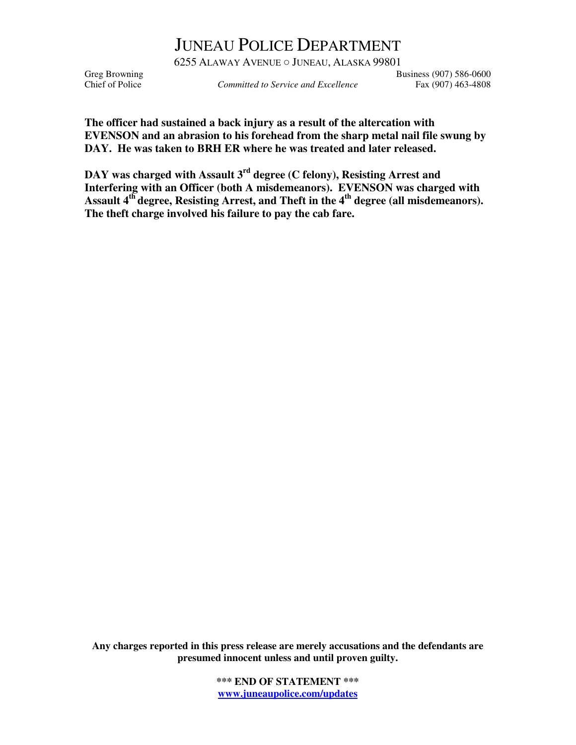## JUNEAU POLICE DEPARTMENT

6255 ALAWAY AVENUE ○ JUNEAU, ALASKA 99801 Greg Browning<br>Committed to Service and Excellence Fax (907) 586-0600<br>Fax (907) 463-4808

Committed to Service and Excellence Fax (907) 463-4808

**The officer had sustained a back injury as a result of the altercation with EVENSON and an abrasion to his forehead from the sharp metal nail file swung by DAY. He was taken to BRH ER where he was treated and later released.** 

**DAY was charged with Assault 3rd degree (C felony), Resisting Arrest and Interfering with an Officer (both A misdemeanors). EVENSON was charged with Assault 4th degree, Resisting Arrest, and Theft in the 4th degree (all misdemeanors). The theft charge involved his failure to pay the cab fare.** 

**Any charges reported in this press release are merely accusations and the defendants are presumed innocent unless and until proven guilty.** 

> **\*\*\* END OF STATEMENT \*\*\* www.juneaupolice.com/updates**